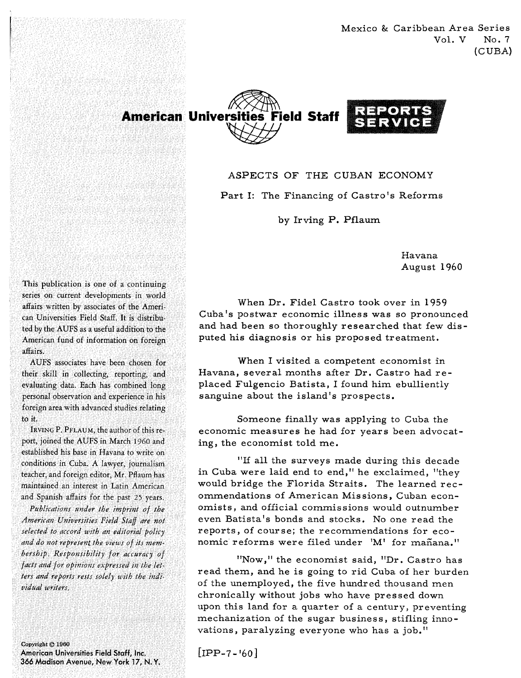Mexico & Caribbean Area Series Vol. V No. 7 (CUBA)



ASPECTS OF THE CUBAN ECONOMY

Part I: The Financing of Castro's Reforms

by Irving P. Pflaum

Havana August 1960

When Dr. Fidel Castro took over in 1959 Cuba's postwar economic illness was so pronounced and had been so thoroughly researched that few disputed his diagnosis or his proposed treatment.

When I visited a competent economist in Havana, several months after Dr. Castro had replaced Fulgencio Batista, I found him ebulliently sanguine about the island's prospects.

Someone finally was applying to Cuba the economic measures he had for years been advocating, the economist told me.

"If all the surveys made during this decade in Cuba were laid end to end," he exclaimed, "they would bridge the Florida Straits. The learned recommendations of American Missions, Cuban economists, and official commissions would outnumber even Batista's bonds and stocks. No one read the reports, of course; the recommendations for economic reforms were filed under 'M' for mañana."

"Now," the economist said, "Dr. Castro has read them, and he is going to rid Cuba of her burden of the unemployed, the five hundred thousand men chronically without jobs who have pressed down upon this land for a quarter of a century, preventing mechanization of the sugar business, stifling innovations, paralyzing everyone who has a job."

 $[IPP-7-160]$ 

This publication is one of a continuing series on current developments in world affairs written by associates of the American Universities Field Staff. It is distributed by the AUFS as a useful addition to the American fund of information on foreign affairs

AUFS associates have been chosen for their skill in collecting, reporting, and evaluating data. Each has combined long personal observation and experience in his foreign area with advanced studies relating to it.

IRVING P. PFLAUM, the author of this report, joined the AUFS in March 1960 and established his base in Havana to write on conditions in Cuba. A lawyer, journalism teacher, and foreign editor, Mr. Pflaum has maintained an interest in Latin American and Spanish affairs for the past 25 years.

Publications under the imprint of the American Universities Field Staff are not selected to accord with an editorial policy and do not represent the views of its membership. Responsibility for accuracy of facts and for opinions expressed in the letters and reports rests solely with the individual writers.

Copyright © 1960 American Universities Field Staff, Inc. 366 Madison Avenue, New York 17, N.Y.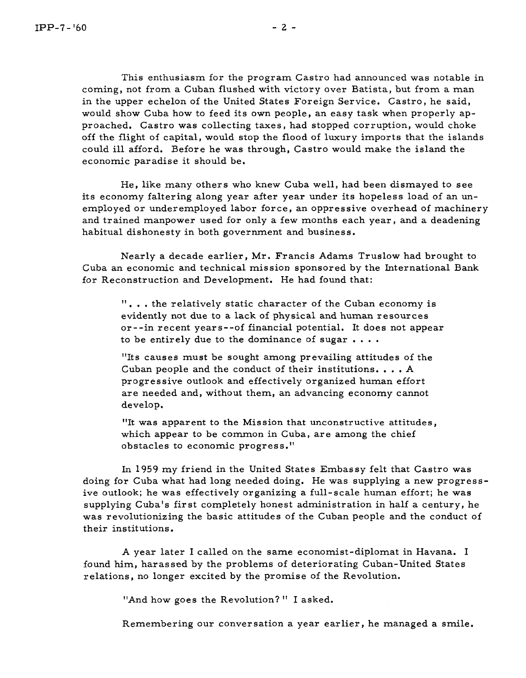This enthusiasm for the program Castro had announced was notable in coming, not from a Cuban flushed with victory over Batista, but from a man in the upper echelon of the United States Foreign Service. Castro, he said, would show Cuba how to feed its own people, an easy task when properly approached. Castro was collecting taxes, had stopped corruption, would choke off the flight of capital, would stop the flood of luxury imports that the islands could ill afford. Before he was through, Castro would make the island the economic paradise it should be.

He, like many others who knew Cuba well, had been dismayed to see its economy faltering along year after year under its hopeless load of an unemployed or underemployed labor force, an oppressive overhead of machinery and trained manpower used for only a few months each year, and a deadening habitual dishonesty in both government and business.

Nearly a decade earlier, Mr. Francis Adams Truslow had brought to Cuba an economic and technical mission sponsored by the International Bank for Reconstruction and Development. He had found that:

". . . the relatively static character of the Cuban economy is evidently not due to a lack of physical and human resources or - -in recent year s--of financial potential. It does not appear to be entirely due to the dominance of sugar  $\dots$ .

"Its causes must be sought among prevailing attitudes of the Cuban people and the conduct of their institutions. . . . **<sup>A</sup>** progressive outlook and effectively organized human effort are needed and, without them, an advancing economy cannot develop.

"It was apparent to the Mission that unconstructive attitudes, which appear to be common in Cuba, are among the chief obstacles to economic progress.''

In 1959 my friend in the United States Embassy felt that Castro was doing for Cuba what had long needed doing. He was supplying a new progress ive outlook; he was effectively organizing a full-scale human effort; he was supplying Cuba's fir st completely honest administration in half a century, he was revolutionizing the basic attitudes of the Cuban people and the conduct of their institutions.

**A** year later I called on the same economist-diplomat in Havana. I found him, harassed by the problems of deteriorating Cuban-United States relations, no longer excited by the promise of the Revolution.

"And how goes the Revolution?" I asked.

Remembering our conversation a year earlier, he managed a smile.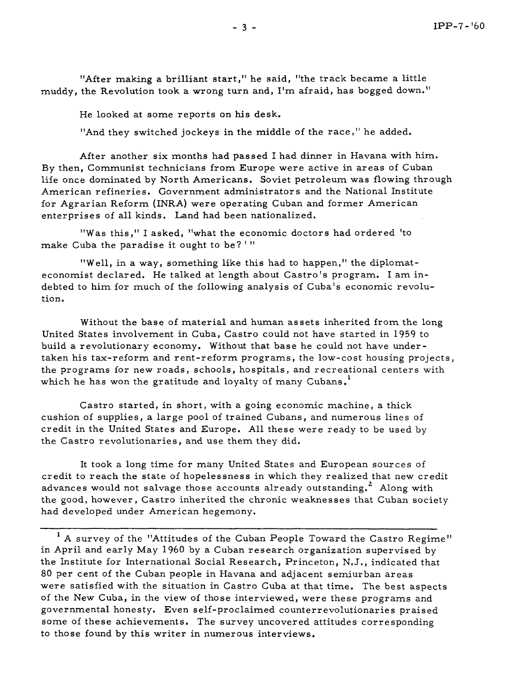"After making a brilliant start," he said, "the track became a little muddy, the Revolution took a wrong turn and, I'm afraid, has bogged down."

He looked at some reports on his desk.

"And they switched jockeys in the middle of the race," he added.

After another six months had passed I had dinner in Havana with him. By then, Communist technicians from Europe were active in areas of Cuban life once dominated by North Americans. Soviet petroleum was flowing through American refineries. Government administrators and the National Institute for Agrarian Reform (INRA) were operating Cuban and former American enterprises of all kinds. Land had been nationalized.

"Was this," I asked, "what the economic doctors had ordered 'to make Cuba the paradise it ought to be? '"

"Well, in a way, something like this had to happen," the diplomateconomist declared. He talked at length about Castro's program, I am indebted to him for much of the following analysis of Cuba's economic revolution.

Without the base of material and human assets inherited from the long United States involvement in Cuba, Castro could not have started in 1959 to build a revolutionary economy. Without that base he could not have undertaken his tax-reform and rent-reform programs, the low-cost housing projects, the programs for new roads, schools, hospitals, and recreational centers with which he has won the gratitude and loyalty of many Cubans.<sup>1</sup>

Castro started, in short, with a going economic machine, a thick cushion of supplies, a large pool of trained Cubans, and numerous lines of credit in the United States and Europe. All these were ready to be used by the Castro revolutionaries, and use them they did.

It took a long time for many United States and European sources of credit to reach the state of hopelessness in which they realized that new credit advances would not salvage those accounts already outstanding.<sup>2</sup> Along with the good, however, Castro inherited the chronic weaknesses that Cuban society had developed under American hegemony.

<sup>1</sup> A survey of the "Attitudes of the Cuban People Toward the Castro Regime" in April and early May 1960 by a Cuban research organization supervised by the Institute for International Social Research, Princeton, N,J., indicated that 80 per cent of the Cuban people in Havana and adjacent semiurban areas were satisfied with the situation in Castro Cuba at that time. The best aspects of the New Cuba, in the view of those interviewed, were these programs and governmental honesty. Even self-proclaimed counterrevolutionaries praised some of these achievements. The survey uncovered attitudes corresponding to those found by this writer in numerous interviews.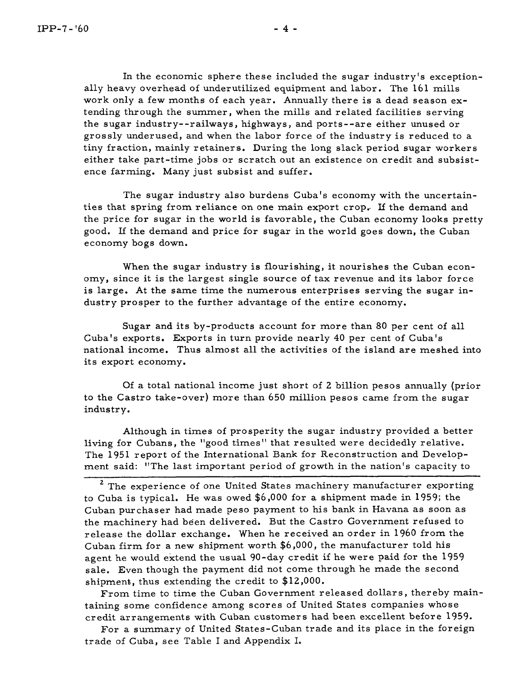In the economic sphere these included the sugar industry's exceptionally heavy overhead of underutilized equipment and labor. The 161 mills work only a few months of each year. Annually there is a dead season extending through the summer, when the mills and related facilities serving the sugar industry--railways, highways, and ports--are either unused or grossly underused, and when the labor force of the industry is reduced to a tiny fraction, mainly retainers. During the long slack period sugar workers either take part-time jobs or scratch out an existence on credit and subsistence farming. Many just subsist and suffer.

The sugar industry also burdens Cuba's economy with the uncertainties that spring from reliance on one main export crop.. **If** the demand and the price for sugar in the world is favorable, the Cuban economy looks pretty good. If the demand and price for sugar in the world goes down, the Cuban economy bogs down.

When the sugar industry is flourishing, it nourishes the Cuban economy, since it is the largest single source of tax revenue and its labor force is large. At the same time the numerous enterprises serving the sugar industry prosper to the further advantage of the entire economy.

Sugar and its by-products account for more than 80 per cent of all Cuba's exports. Exports in turn provide nearly 40 per cent of Cuba's national income. Thus almost all the activities of the island are meshed into its export economy.

Of a total national income just short of *2* billion pesos annually (prior to the Castro take-over) more than 650 million pesos came from the sugar industry.

Although in times of prosperity the sugar industry provided a better living for Cubans, the "good times" that resulted were decidedly relative. The 1951 report of the International Bank for Reconstruction and Development said: "The last important period of growth in the nation's capacity to

**<sup>2</sup>**The experience of one United States machinery manufacturer exporting to Cuba is typical. He was owed \$6,000 for a shipment made in 1959; the Cuban purchaser had made peso payment to his bank in Havana as soon as the machinery had been delivered. But the Castro Government refused to release the dollar exchange. When he received an order in 1960 from the Cuban firm for a new shipment worth \$6,000, the manufacturer told his agent he would extend the usual 90-day credit if he were paid for the 1959 sale. Even though the payment did not come through he made the second shipment, thus extending the credit to \$12,000.

From time to time the Cuban Government released dollars, thereby maintaining some confidence among scores of United States companies whose credit arrangements with Cuban customers had been excellent before 1959.

For a summary of United States-Cuban trade and its place in the foreign trade of Cuba, see Table I and Appendix I.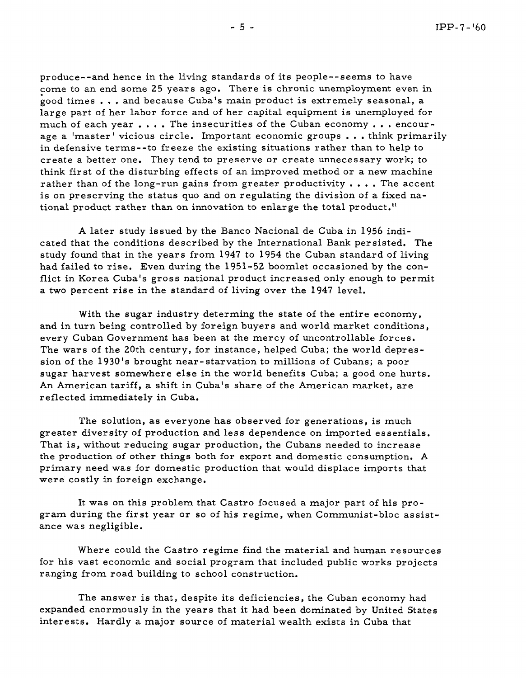produce- -and hence in the living standards of its people- - seems to have come to an end some 25 years ago. There is chronic unemployment even in good times . . . and because Cuba's main product is extremely seasonal, a large part of her labor force and of her capital equipment is unemployed for much of each year  $\dots$ . The insecurities of the Cuban economy  $\dots$  encourage a 'master' vicious circle. Important economic groups . . . think primarily in defensive terms--to freeze the existing situations rather than to help to create a better one. They tend to preserve or create unnecessary work; to think fir st of the disturbing effects of an improved method or a new machine rather than of the long-run gains from greater productivity  $\dots$ . The accent is on preserving the status quo and on regulating the division of a fixed national product rather than on innovation to enlarge the total product."

A later study issued by the Banco Nacional de Cuba in 1956 indicated that the conditions described by the International Bank persisted. The study found that in the years from 1947 to 1954 the Cuban standard of living had failed to rise. Even during the 1951-52 boomlet occasioned by the conflict in Korea Cuba's gross national product increased only enough to permit a two percent rise in the standard of living over the 1947 level.

With the sugar industry determing the state of the entire economy, and in turn being controlled by foreign buyers and world market conditions, every Cuban Government has been at the mercy of uncontrollable forces. The wars of the 20th century, for instance, helped Cuba; the world depression of the 1930's brought near-starvation to millions of Cubans; a poor sugar harvest somewhere else in the world benefits Cuba; a good one hurts. An American tariff, a shift in Cuba's share of the American market, are reflected immediately in Cuba.

The solution, as everyone has observed for generations, is much greater diversity of production and less dependence on imported essentials. That is, without reducing sugar production, the Cubans needed to increase the production of other things both for export and domestic consumption. A primary need was for domestic production that would displace imports that were costly in foreign exchange.

It was on this problem that Castro focused a major part of his program during the first year or so of his regime, when Communist-bloc assistance was negligible.

Where could the Castro regime find the material and human resources for his vast economic and social program that included public works projects ranging from road building to school construction.

The answer is that, despite its deficiencies, the Cuban economy had expanded enormously in the years that it had been dominated by United States interests. Hardly a major source of material wealth exists in Cuba that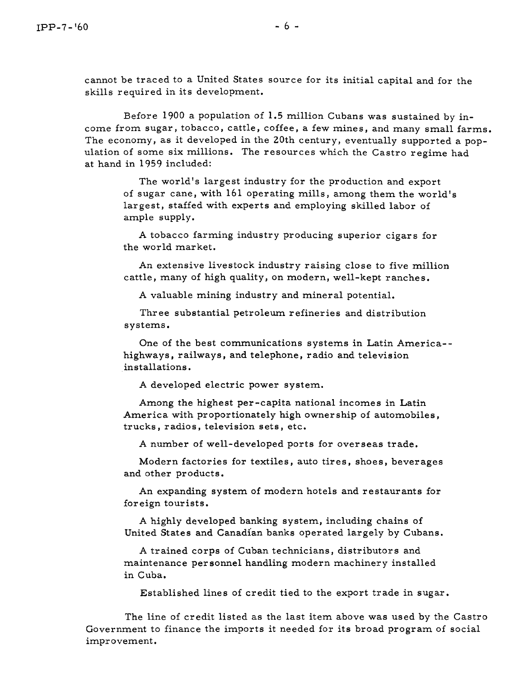cannot be traced to a United States source for its initial capital and for the skills required in its development.

Before 1900 a population of 1.5 million Cubans was sustained by income from sugar, tobacco, cattle, coffee, a few mines, and many small farms. The economy, as it developed in the 20th century, eventually supported a population of some six millions. The resources which the Castro regime had at hand in 1959 included:

The world's largest industry for the production and export of sugar cane, with 161 operating mills, among them the world's largest, staffed with experts and employing skilled labor of ample supply.

A tobacco farming industry producing superior cigars for the world market.

An extensive livestock industry raising close to five million cattle, many of high quality, on modern, well-kept ranches.

A valuable mining industry and mineral potential.

Three substantial petroleum refineries and distribution systems.

One of the best communications systems in Latin America- highways, railways, and telephone, radio and television installations.

A developed electric power system.

Among the highest per -capita national incomes in Latin America with proportionately high ownership of automobiles, trucks, radios, television sets, etc.

A number of well-developed ports for overseas trade.

Modern factories for textiles, auto tires, shoes, beverages and other products.

An expanding system of modern hotels and restaurants for foreign tourists.

A highly developed banking system, including chains of United States and Canadian banks operated largely by Cubans.

A trained corps of Cuban technicians, distributors and maintenance personnel handling modern machinery installed in Cuba.

Established lines of credit tied to the export trade in sugar.

The line of credit listed as the last item above was used by the Castro Government to finance the imports it needed for its broad program of social improvement.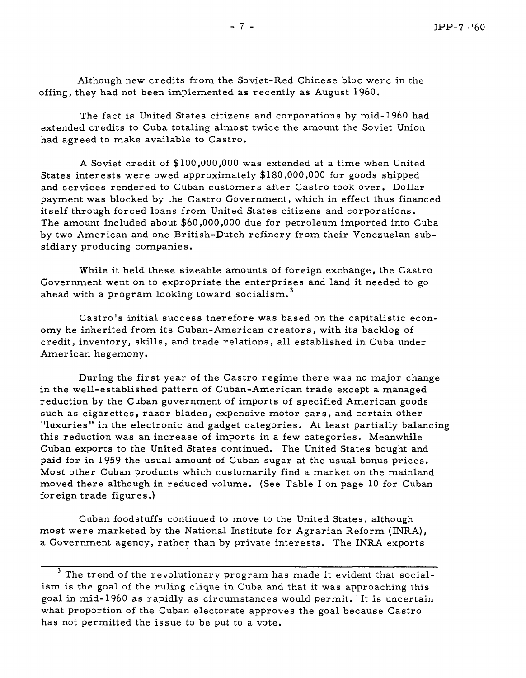Although new credits from the Soviet-Red Chinese bloc were in the offing, they had not been implemented as recently as August 1960,

The fact is United States citizens and corporations by mid-1960 had extended credits to Cuba totaling almost twice the amount the Soviet Union had agreed to make available to Castro.

A Soviet credit of \$100,000,000 was extended at a time when United States interests were owed approximately \$180,000,000 for goods shipped and services rendered to Cuban customers after Castro took over. Dollar payment was blocked by the Castro Government, which in effect thus financed it self through forced loans from United States citizens and corporations. The amount included about \$60,000,000 due for petroleum imported into Cuba by two American and one British-Dutch refinery from their Venezuelan subsidiary producing companies.

While it held these sizeable amounts of foreign exchange, the Castro Government went on to expropriate the enterprises and land it needed to go ahead with a program looking toward socialism. **<sup>3</sup>**

Castro's initial success therefore was based on the capitalistic economy he inherited from its Cuban-American creators, with its backlog of credit, inventory, skills, and trade relations, all established in Cuba under American hegemony.

During the first year of the Castro regime there was no major change in the well-established pattern of Cuban-American trade except a managed reduction by the Cuban government of imports of specified American goods such as cigarettes, razor blades, expensive motor cars, and certain other "luxuries" in the electronic and gadget categories, At least partially balancing this reduction was an increase of imports in a few categories. Meanwhile Cuban exports to the United States continued. The United States bought and paid for in 1959 the usual amount of Cuban sugar at the usual bonus prices. Most other Cuban products which customarily find a market on the mainland moved there although in reduced volume. (See Table I on page 10 for Cuban foreign trade figures .)

Cuban foodstuffs continued to move to the United States, although most were marketed by the National Institute for Agrarian Reform (INRA), a Government agency, rather than by private interests. The INRA exports

**<sup>3</sup>**The trend of the revolutionary program has made it evident that socialism is the goal of the ruling clique in Cuba and that it was approaching this goal in mid-1960 as rapidly as circumstances would permit. It is uncertain what proportion of the Cuban electorate approves the goal because Castro has not permitted the issue to be put to a vote.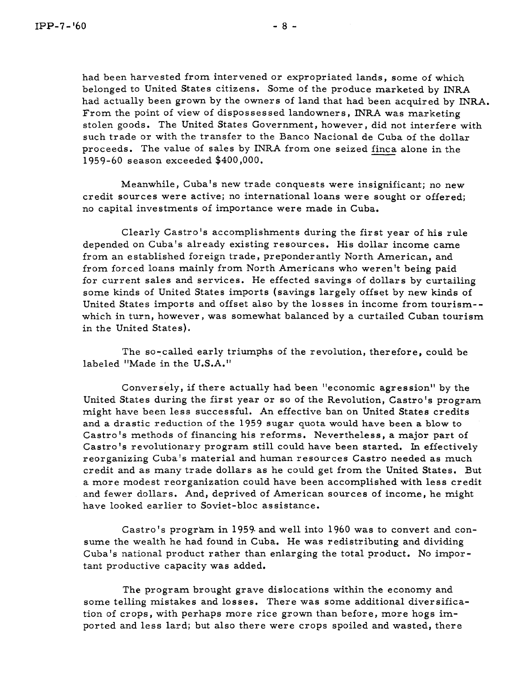had been harvested from intervened or expropriated lands, some of which belonged to United States citizens. Some of the produce marketed by INRA had actually been grown by the owners of land that had been acquired by INRA. From the point of view of dispossessed landowners, INRA was marketing stolen goods. The United States Government, however, did not interfere with such trade or with the transfer to the Banco Nacional de Cuba of the dollar belonged to United States citizens. Some of the produce marketed by INR.<br>had actually been grown by the owners of land that had been acquired by I<br>From the point of view of dispossessed landowners, INRA was marketing<br>stole 1959-60 season exceeded \$400,000.

Meanwhile, Cuba's new trade conquests were insignificant; no new credit sources were active; no international loans were sought or offered; no capital investments of importance were made in Cuba,

Clearly Castro's accomplishments during the first year of his rule depended on Cuba's already existing resources. His dollar income came from an established foreign trade, preponderantly North American, and from forced loans mainly from North Americans who weren't being paid for current sales and services. He effected savings of dollars by curtailing some kinds of United States imports (savings largely offset by new kinds of United States imports and offset also by the losses in income from tourism- which in turn, however, was somewhat balanced by a curtailed Cuban tourism in the United States).

The so-called early triumphs of the revolution, therefore, could be labeled "Made in the U.S.A."

Conversely, if there actually had been "economic agression" by the United States during the first year or so of the Revolution, Castro's program might have been less successful. An effective ban on United States credits and a drastic reduction of the 1959 sugar quota would have been a blow to Castro's methods of financing his reforms. Nevertheless, a major part of Castro's revolutionary program still could have been started. In effectively reorganizing Cuba's material and human resources Castro needed as much credit and as many trade dollars as he could get from the United States. But a more modest reorganization could have been accomplished with less credit and fewer dollars. And, deprived of American sources of income, he might have looked earlier to Soviet-bloc assistance.

Castro's program in 1959 and well into 1960 was to convert and consume the wealth he had found in Cuba. He was redistributing and dividing Cuba's national product rather than enlarging the total product. No important productive capacity was added.

The program brought grave dislocations within the economy and some telling mistakes and losses. There was some additional diver sification of crops, with perhaps more rice grown than before, more hogs imported and less lard; but also there were crops spoiled and wasted, there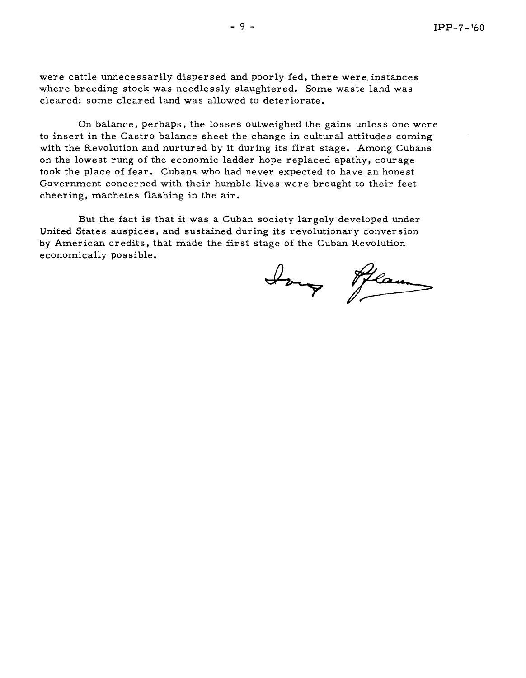were cattle unnecessarily dispersed and poorly fed, there were instances where breeding stock was needlessly slaughtered. Some waste land was cleared; some cleared land was allowed to deteriorate.

On balance, perhaps, the losses outweighed the gains unless one were to insert in the Castro balance sheet the change in cultural attitudes coming with the Revolution and nurtured by it during its first stage. Among Cubans on the lowest rung of the economic ladder hope replaced apathy, courage took the place of fear. Cubans who had never expected to have an honest Government concerned with their humble lives were brought to their feet cheering, machetes flashing in the air.

But the fact is that it was a Cuban society largely developed under United States auspices, and sustained during its revolutionary conversion by American credits, that made the fir st stage of the Cuban Revolution economically possible.

Jong Hear